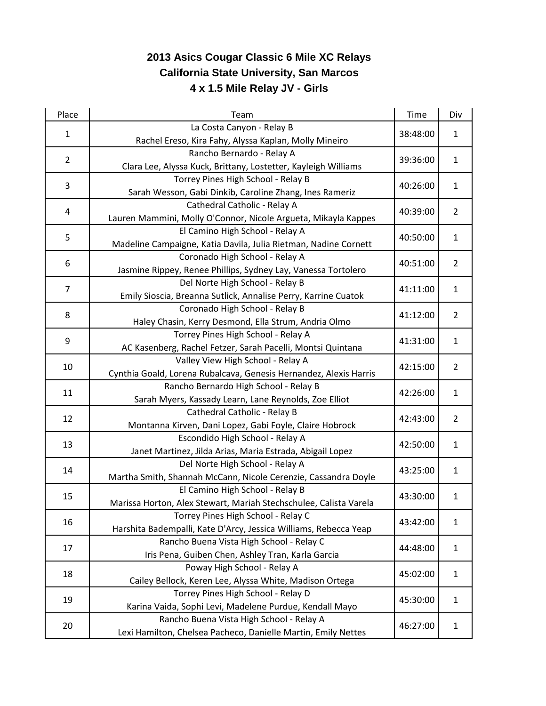## **2013 Asics Cougar Classic 6 Mile XC Relays California State University, San Marcos 4 x 1.5 Mile Relay JV - Girls**

| Place          | Team                                                                                                | Time     | Div            |
|----------------|-----------------------------------------------------------------------------------------------------|----------|----------------|
| $\mathbf{1}$   | La Costa Canyon - Relay B                                                                           |          | $\mathbf{1}$   |
|                | Rachel Ereso, Kira Fahy, Alyssa Kaplan, Molly Mineiro                                               | 38:48:00 |                |
| $\overline{2}$ | Rancho Bernardo - Relay A                                                                           |          | $\mathbf{1}$   |
|                | Clara Lee, Alyssa Kuck, Brittany, Lostetter, Kayleigh Williams                                      | 39:36:00 |                |
| 3              | Torrey Pines High School - Relay B                                                                  | 40:26:00 | $\mathbf{1}$   |
|                | Sarah Wesson, Gabi Dinkib, Caroline Zhang, Ines Rameriz                                             |          |                |
| 4              | Cathedral Catholic - Relay A                                                                        | 40:39:00 | $\overline{2}$ |
|                | Lauren Mammini, Molly O'Connor, Nicole Argueta, Mikayla Kappes                                      |          |                |
| 5              | El Camino High School - Relay A                                                                     | 40:50:00 | $\mathbf{1}$   |
|                | Madeline Campaigne, Katia Davila, Julia Rietman, Nadine Cornett                                     |          |                |
| 6              | Coronado High School - Relay A                                                                      | 40:51:00 | $\overline{2}$ |
|                | Jasmine Rippey, Renee Phillips, Sydney Lay, Vanessa Tortolero                                       |          |                |
| $\overline{7}$ | Del Norte High School - Relay B                                                                     | 41:11:00 | $\mathbf{1}$   |
|                | Emily Sioscia, Breanna Sutlick, Annalise Perry, Karrine Cuatok                                      |          |                |
| 8              | Coronado High School - Relay B                                                                      | 41:12:00 | $\overline{2}$ |
|                | Haley Chasin, Kerry Desmond, Ella Strum, Andria Olmo                                                |          |                |
| 9              | Torrey Pines High School - Relay A                                                                  | 41:31:00 | $\mathbf{1}$   |
|                | AC Kasenberg, Rachel Fetzer, Sarah Pacelli, Montsi Quintana                                         |          |                |
| 10             | Valley View High School - Relay A                                                                   | 42:15:00 | $\overline{2}$ |
|                | Cynthia Goald, Lorena Rubalcava, Genesis Hernandez, Alexis Harris                                   |          |                |
| 11             | Rancho Bernardo High School - Relay B                                                               | 42:26:00 | $\mathbf{1}$   |
|                | Sarah Myers, Kassady Learn, Lane Reynolds, Zoe Elliot                                               |          |                |
| 12             | Cathedral Catholic - Relay B                                                                        | 42:43:00 | $\overline{2}$ |
|                | Montanna Kirven, Dani Lopez, Gabi Foyle, Claire Hobrock                                             |          |                |
| 13             | Escondido High School - Relay A                                                                     | 42:50:00 | $\mathbf{1}$   |
|                | Janet Martinez, Jilda Arias, Maria Estrada, Abigail Lopez                                           |          |                |
| 14             | Del Norte High School - Relay A                                                                     | 43:25:00 | $\mathbf{1}$   |
|                | Martha Smith, Shannah McCann, Nicole Cerenzie, Cassandra Doyle                                      |          |                |
| 15             | El Camino High School - Relay B                                                                     | 43:30:00 | $\mathbf{1}$   |
|                | Marissa Horton, Alex Stewart, Mariah Stechschulee, Calista Varela                                   |          |                |
| 16<br>17       | Torrey Pines High School - Relay C                                                                  | 43:42:00 | 1              |
|                | Harshita Badempalli, Kate D'Arcy, Jessica Williams, Rebecca Yeap                                    |          |                |
|                | Rancho Buena Vista High School - Relay C                                                            | 44:48:00 | 1              |
|                | Iris Pena, Guiben Chen, Ashley Tran, Karla Garcia                                                   |          |                |
| 18             | Poway High School - Relay A                                                                         | 45:02:00 | $\mathbf{1}$   |
|                | Cailey Bellock, Keren Lee, Alyssa White, Madison Ortega                                             |          |                |
| 19             | Torrey Pines High School - Relay D                                                                  | 45:30:00 | $\mathbf{1}$   |
|                | Karina Vaida, Sophi Levi, Madelene Purdue, Kendall Mayo<br>Rancho Buena Vista High School - Relay A |          |                |
| 20             |                                                                                                     | 46:27:00 | 1              |
|                | Lexi Hamilton, Chelsea Pacheco, Danielle Martin, Emily Nettes                                       |          |                |